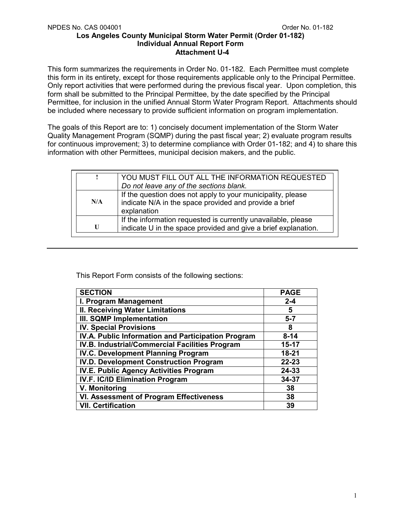This form summarizes the requirements in Order No. 01-182. Each Permittee must complete this form in its entirety, except for those requirements applicable only to the Principal Permittee. Only report activities that were performed during the previous fiscal year. Upon completion, this form shall be submitted to the Principal Permittee, by the date specified by the Principal Permittee, for inclusion in the unified Annual Storm Water Program Report. Attachments should be included where necessary to provide sufficient information on program implementation.

The goals of this Report are to: 1) concisely document implementation of the Storm Water Quality Management Program (SQMP) during the past fiscal year; 2) evaluate program results for continuous improvement; 3) to determine compliance with Order 01-182; and 4) to share this information with other Permittees, municipal decision makers, and the public.

|     | YOU MUST FILL OUT ALL THE INFORMATION REQUESTED<br>Do not leave any of the sections blank.                                           |
|-----|--------------------------------------------------------------------------------------------------------------------------------------|
| N/A | If the question does not apply to your municipality, please<br>indicate N/A in the space provided and provide a brief<br>explanation |
| U   | If the information requested is currently unavailable, please<br>indicate U in the space provided and give a brief explanation.      |

This Report Form consists of the following sections:

| <b>SECTION</b>                                     | <b>PAGE</b> |
|----------------------------------------------------|-------------|
| I. Program Management                              | $2 - 4$     |
| <b>II. Receiving Water Limitations</b>             | 5           |
| <b>III. SQMP Implementation</b>                    | $5 - 7$     |
| <b>IV. Special Provisions</b>                      | 8           |
| IV.A. Public Information and Participation Program | $8 - 14$    |
| IV.B. Industrial/Commercial Facilities Program     | $15 - 17$   |
| <b>IV.C. Development Planning Program</b>          | 18-21       |
| <b>IV.D. Development Construction Program</b>      | $22 - 23$   |
| IV.E. Public Agency Activities Program             | 24-33       |
| <b>IV.F. IC/ID Elimination Program</b>             | 34-37       |
| V. Monitoring                                      | 38          |
| <b>VI. Assessment of Program Effectiveness</b>     | 38          |
| <b>VII. Certification</b>                          | 39          |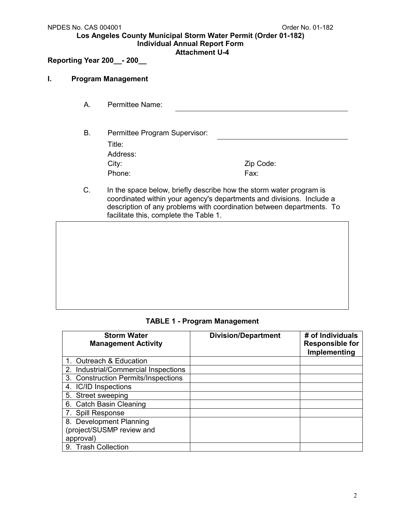## **Attachment U-4**

# **Reporting Year 200\_\_- 200\_\_**

## **I. Program Management**

- A. Permittee Name:
- B. Permittee Program Supervisor: Title: Address: City: Zip Code: Phone: Fax:
- C. In the space below, briefly describe how the storm water program is coordinated within your agency's departments and divisions. Include a description of any problems with coordination between departments. To facilitate this, complete the Table 1.

## **TABLE 1 - Program Management**

| <b>Storm Water</b><br><b>Management Activity</b> | <b>Division/Department</b> | # of Individuals<br><b>Responsible for</b><br>Implementing |
|--------------------------------------------------|----------------------------|------------------------------------------------------------|
| 1. Outreach & Education                          |                            |                                                            |
| 2. Industrial/Commercial Inspections             |                            |                                                            |
| 3. Construction Permits/Inspections              |                            |                                                            |
| 4. IC/ID Inspections                             |                            |                                                            |
| 5. Street sweeping                               |                            |                                                            |
| 6. Catch Basin Cleaning                          |                            |                                                            |
| 7. Spill Response                                |                            |                                                            |
| 8. Development Planning                          |                            |                                                            |
| (project/SUSMP review and                        |                            |                                                            |
| approval)                                        |                            |                                                            |
| 9. Trash Collection                              |                            |                                                            |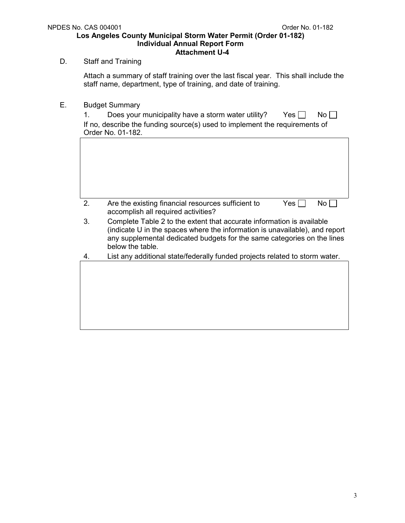# D. Staff and Training

Attach a summary of staff training over the last fiscal year. This shall include the staff name, department, type of training, and date of training.

E. Budget Summary

| 1. | Does your municipality have a storm water utility?<br>$Yes$    <br>No H<br>If no, describe the funding source(s) used to implement the requirements of<br>Order No. 01-182.                                                                         |
|----|-----------------------------------------------------------------------------------------------------------------------------------------------------------------------------------------------------------------------------------------------------|
|    |                                                                                                                                                                                                                                                     |
|    |                                                                                                                                                                                                                                                     |
|    |                                                                                                                                                                                                                                                     |
| 2. | Are the existing financial resources sufficient to<br>Yes  <br>No l<br>accomplish all required activities?                                                                                                                                          |
| 3. | Complete Table 2 to the extent that accurate information is available<br>(indicate U in the spaces where the information is unavailable), and report<br>any supplemental dedicated budgets for the same categories on the lines<br>below the table. |
| 4. | List any additional state/federally funded projects related to storm water.                                                                                                                                                                         |
|    |                                                                                                                                                                                                                                                     |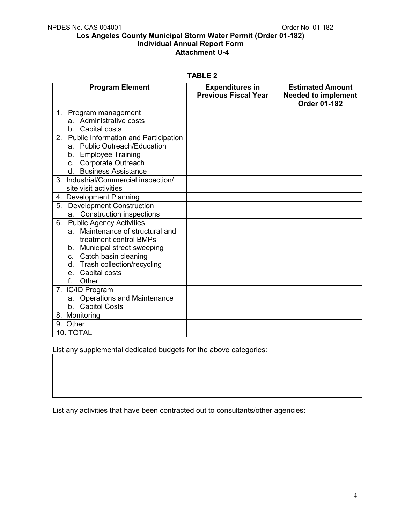| ı. | $\sim$ |  |  |
|----|--------|--|--|
|----|--------|--|--|

| <b>Program Element</b>                            | <b>Expenditures in</b><br><b>Previous Fiscal Year</b> | <b>Estimated Amount</b><br><b>Needed to implement</b><br><b>Order 01-182</b> |
|---------------------------------------------------|-------------------------------------------------------|------------------------------------------------------------------------------|
| 1. Program management                             |                                                       |                                                                              |
| a. Administrative costs                           |                                                       |                                                                              |
| Capital costs<br>b.                               |                                                       |                                                                              |
| <b>Public Information and Participation</b><br>2. |                                                       |                                                                              |
| <b>Public Outreach/Education</b><br>a.            |                                                       |                                                                              |
| b. Employee Training                              |                                                       |                                                                              |
| c. Corporate Outreach                             |                                                       |                                                                              |
| d. Business Assistance                            |                                                       |                                                                              |
| 3. Industrial/Commercial inspection/              |                                                       |                                                                              |
| site visit activities                             |                                                       |                                                                              |
| 4. Development Planning                           |                                                       |                                                                              |
| <b>Development Construction</b><br>5.             |                                                       |                                                                              |
| <b>Construction inspections</b><br>a.             |                                                       |                                                                              |
| <b>Public Agency Activities</b><br>6.             |                                                       |                                                                              |
| a. Maintenance of structural and                  |                                                       |                                                                              |
| treatment control BMPs                            |                                                       |                                                                              |
| b. Municipal street sweeping                      |                                                       |                                                                              |
| c. Catch basin cleaning                           |                                                       |                                                                              |
| d. Trash collection/recycling                     |                                                       |                                                                              |
| Capital costs<br>e.                               |                                                       |                                                                              |
| Other<br>$f_{\perp}$                              |                                                       |                                                                              |
| 7. IC/ID Program                                  |                                                       |                                                                              |
| <b>Operations and Maintenance</b><br>a.           |                                                       |                                                                              |
| b. Capitol Costs                                  |                                                       |                                                                              |
| 8. Monitoring                                     |                                                       |                                                                              |
| 9. Other                                          |                                                       |                                                                              |
| 10. TOTAL                                         |                                                       |                                                                              |

List any supplemental dedicated budgets for the above categories:

List any activities that have been contracted out to consultants/other agencies: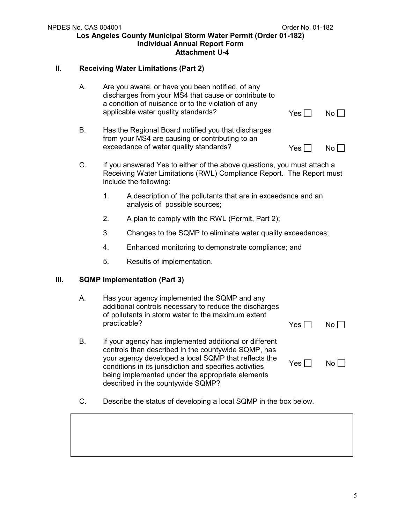# **II. Receiving Water Limitations (Part 2)**

|    | А.<br>Are you aware, or have you been notified, of any<br>discharges from your MS4 that cause or contribute to<br>a condition of nuisance or to the violation of any<br>applicable water quality standards? |              | Yes $\Box$                                                                                                                                                                                                                                                                                                                | $No \Box$    |           |
|----|-------------------------------------------------------------------------------------------------------------------------------------------------------------------------------------------------------------|--------------|---------------------------------------------------------------------------------------------------------------------------------------------------------------------------------------------------------------------------------------------------------------------------------------------------------------------------|--------------|-----------|
|    | <b>B.</b>                                                                                                                                                                                                   |              | Has the Regional Board notified you that discharges<br>from your MS4 are causing or contributing to an<br>exceedance of water quality standards?                                                                                                                                                                          | Yes $\Box$   | $No \Box$ |
|    | C.<br>If you answered Yes to either of the above questions, you must attach a<br>Receiving Water Limitations (RWL) Compliance Report. The Report must<br>include the following:                             |              |                                                                                                                                                                                                                                                                                                                           |              |           |
|    |                                                                                                                                                                                                             | 1.           | A description of the pollutants that are in exceedance and an<br>analysis of possible sources;                                                                                                                                                                                                                            |              |           |
|    |                                                                                                                                                                                                             | 2.           | A plan to comply with the RWL (Permit, Part 2);                                                                                                                                                                                                                                                                           |              |           |
|    |                                                                                                                                                                                                             | 3.           | Changes to the SQMP to eliminate water quality exceedances;                                                                                                                                                                                                                                                               |              |           |
|    |                                                                                                                                                                                                             | 4.           | Enhanced monitoring to demonstrate compliance; and                                                                                                                                                                                                                                                                        |              |           |
|    |                                                                                                                                                                                                             | 5.           | Results of implementation.                                                                                                                                                                                                                                                                                                |              |           |
| Ш. |                                                                                                                                                                                                             |              | <b>SQMP Implementation (Part 3)</b>                                                                                                                                                                                                                                                                                       |              |           |
|    | А.                                                                                                                                                                                                          | practicable? | Has your agency implemented the SQMP and any<br>additional controls necessary to reduce the discharges<br>of pollutants in storm water to the maximum extent                                                                                                                                                              | Yes $\lceil$ | $No \Box$ |
|    | В.                                                                                                                                                                                                          |              | If your agency has implemented additional or different<br>controls than described in the countywide SQMP, has<br>your agency developed a local SQMP that reflects the<br>conditions in its jurisdiction and specifies activities<br>being implemented under the appropriate elements<br>described in the countywide SQMP? | Yes $\Box$   | No        |
|    | C.                                                                                                                                                                                                          |              | Describe the status of developing a local SQMP in the box below.                                                                                                                                                                                                                                                          |              |           |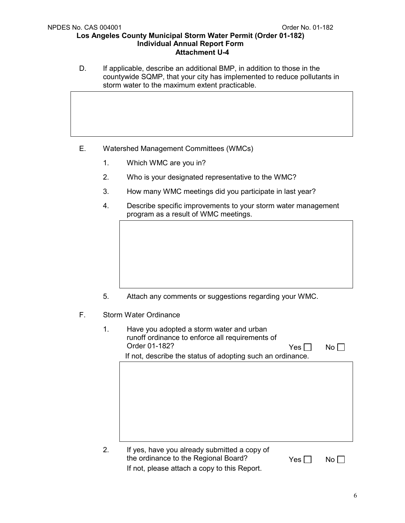D. If applicable, describe an additional BMP, in addition to those in the countywide SQMP, that your city has implemented to reduce pollutants in storm water to the maximum extent practicable.

- E. Watershed Management Committees (WMCs)
	- 1. Which WMC are you in?
	- 2. Who is your designated representative to the WMC?
	- 3. How many WMC meetings did you participate in last year?
	- 4. Describe specific improvements to your storm water management program as a result of WMC meetings.

- 5. Attach any comments or suggestions regarding your WMC.
- F. Storm Water Ordinance
	- 1. Have you adopted a storm water and urban runoff ordinance to enforce all requirements of Order 01-182?  $Yes \Box \qquad No \Box$  If not, describe the status of adopting such an ordinance. 2. If yes, have you already submitted a copy of the ordinance to the Regional Board?  $Yes \Box \qquad No \Box$

If not, please attach a copy to this Report.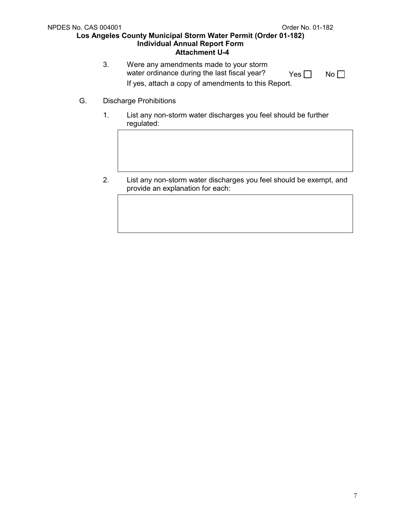- 3. Were any amendments made to your storm water ordinance during the last fiscal year?  $Yes \Box \qquad No \Box$ If yes, attach a copy of amendments to this Report.
- G. Discharge Prohibitions
	- 1. List any non-storm water discharges you feel should be further regulated:
	- 2. List any non-storm water discharges you feel should be exempt, and provide an explanation for each: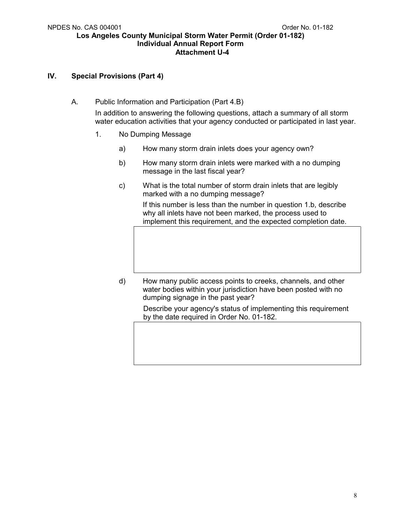## **IV. Special Provisions (Part 4)**

A. Public Information and Participation (Part 4.B)

In addition to answering the following questions, attach a summary of all storm water education activities that your agency conducted or participated in last year.

- 1. No Dumping Message
	- a) How many storm drain inlets does your agency own?
	- b) How many storm drain inlets were marked with a no dumping message in the last fiscal year?
	- c) What is the total number of storm drain inlets that are legibly marked with a no dumping message?

If this number is less than the number in question 1.b, describe why all inlets have not been marked, the process used to implement this requirement, and the expected completion date.

d) How many public access points to creeks, channels, and other water bodies within your jurisdiction have been posted with no dumping signage in the past year?

> Describe your agency's status of implementing this requirement by the date required in Order No. 01-182.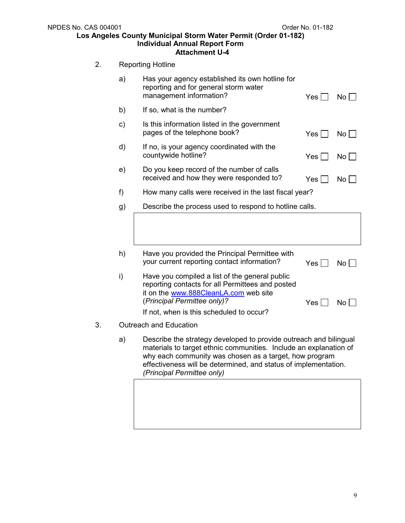| <b>NPDES No. CAS 004001</b> | Los Angeles County Municipal Storm Water Permit (Order 01-182)<br><b>Individual Annual Report Form</b><br><b>Attachment U-4</b>                                                                                                                                                                   | Order No. 01-182 |             |
|-----------------------------|---------------------------------------------------------------------------------------------------------------------------------------------------------------------------------------------------------------------------------------------------------------------------------------------------|------------------|-------------|
| 2.                          | <b>Reporting Hotline</b>                                                                                                                                                                                                                                                                          |                  |             |
| a)                          | Has your agency established its own hotline for<br>reporting and for general storm water<br>management information?                                                                                                                                                                               | Yes $\Box$       | $No$ $\Box$ |
| b)                          | If so, what is the number?                                                                                                                                                                                                                                                                        |                  |             |
| c)                          | Is this information listed in the government<br>pages of the telephone book?                                                                                                                                                                                                                      | Yes              | $No$        |
| d)                          | If no, is your agency coordinated with the<br>countywide hotline?                                                                                                                                                                                                                                 | $Yes \Box$       | $No$        |
| e)                          | Do you keep record of the number of calls<br>received and how they were responded to?                                                                                                                                                                                                             | Yes              | $No$        |
| f)                          | How many calls were received in the last fiscal year?                                                                                                                                                                                                                                             |                  |             |
| g)                          | Describe the process used to respond to hotline calls.                                                                                                                                                                                                                                            |                  |             |
|                             |                                                                                                                                                                                                                                                                                                   |                  |             |
| h)                          | Have you provided the Principal Permittee with<br>your current reporting contact information?                                                                                                                                                                                                     | Yes              | No          |
| i)                          | Have you compiled a list of the general public<br>reporting contacts for all Permittees and posted<br>it on the www.888CleanLA.com web site<br>(Principal Permittee only)?                                                                                                                        | Yes              | No          |
|                             | If not, when is this scheduled to occur?                                                                                                                                                                                                                                                          |                  |             |
| 3.                          | <b>Outreach and Education</b>                                                                                                                                                                                                                                                                     |                  |             |
| a)                          | Describe the strategy developed to provide outreach and bilingual<br>materials to target ethnic communities. Include an explanation of<br>why each community was chosen as a target, how program<br>effectiveness will be determined, and status of implementation.<br>(Principal Permittee only) |                  |             |
|                             |                                                                                                                                                                                                                                                                                                   |                  |             |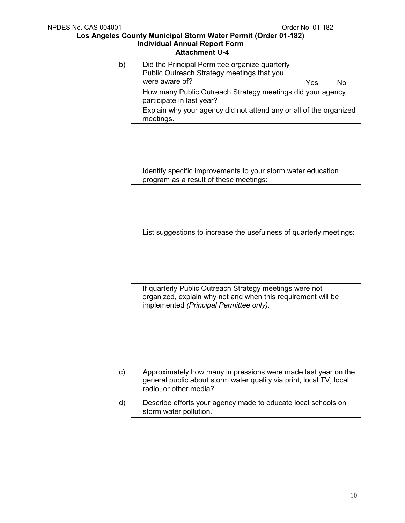b) Did the Principal Permittee organize quarterly Public Outreach Strategy meetings that you were aware of?  $Yes \Box \ No \Box$  How many Public Outreach Strategy meetings did your agency participate in last year? Explain why your agency did not attend any or all of the organized

meetings.

Identify specific improvements to your storm water education program as a result of these meetings:

List suggestions to increase the usefulness of quarterly meetings:

If quarterly Public Outreach Strategy meetings were not organized, explain why not and when this requirement will be implemented *(Principal Permittee only).*

- c) Approximately how many impressions were made last year on the general public about storm water quality via print, local TV, local radio, or other media?
- d) Describe efforts your agency made to educate local schools on storm water pollution.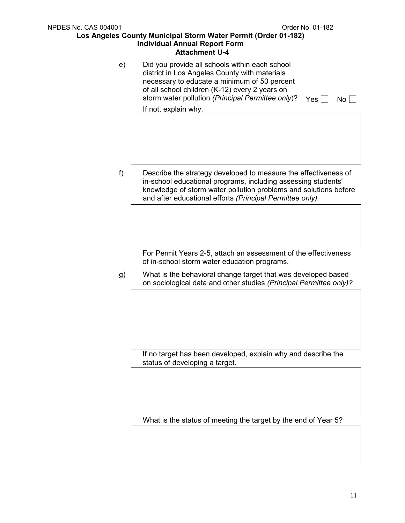e) Did you provide all schools within each school district in Los Angeles County with materials necessary to educate a minimum of 50 percent of all school children (K-12) every 2 years on storm water pollution *(Principal Permittee only)*? Yes  $\Box$  No  $\Box$ 

If not, explain why.

f) Describe the strategy developed to measure the effectiveness of in-school educational programs, including assessing students' knowledge of storm water pollution problems and solutions before and after educational efforts *(Principal Permittee only).*

> For Permit Years 2-5, attach an assessment of the effectiveness of in-school storm water education programs.

g) What is the behavioral change target that was developed based on sociological data and other studies *(Principal Permittee only)?*

If no target has been developed, explain why and describe the status of developing a target.

What is the status of meeting the target by the end of Year 5?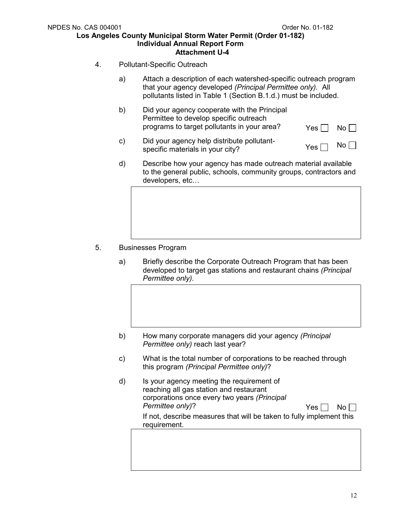- 4. Pollutant-Specific Outreach
	- a) Attach a description of each watershed-specific outreach program that your agency developed *(Principal Permittee only).* All pollutants listed in Table 1 (Section B.1.d.) must be included.
	- b) Did your agency cooperate with the Principal Permittee to develop specific outreach programs to target pollutants in your area?  $Yes \Box \ No \Box$
	- c) Did your agency help distribute pollutant- $\Box$  bid your agency neip distribute politically<br>specific materials in your city?  $\Box$  Yes  $\Box$  No
	- d) Describe how your agency has made outreach material available to the general public, schools, community groups, contractors and developers, etc…

- 5. Businesses Program
	- a) Briefly describe the Corporate Outreach Program that has been developed to target gas stations and restaurant chains *(Principal Permittee only).*
	- b) How many corporate managers did your agency *(Principal Permittee only)* reach last year?
	- c) What is the total number of corporations to be reached through this program *(Principal Permittee only)*?
	- d) Is your agency meeting the requirement of reaching all gas station and restaurant corporations once every two years *(Principal*   $Permittee$  only)?  $Yes \Box \ No \Box$ If not, describe measures that will be taken to fully implement this requirement.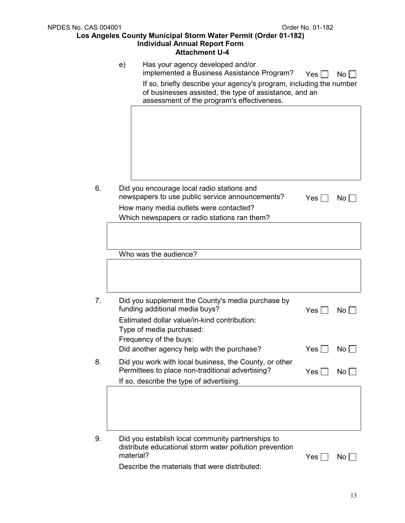|                | e) | Has your agency developed and/or<br>implemented a Business Assistance Program?<br>If so, briefly describe your agency's program, including the number<br>of businesses assisted, the type of assistance, and an<br>assessment of the program's effectiveness. | $Yes \Box$ | No <sub>1</sub> |
|----------------|----|---------------------------------------------------------------------------------------------------------------------------------------------------------------------------------------------------------------------------------------------------------------|------------|-----------------|
|                |    |                                                                                                                                                                                                                                                               |            |                 |
| 6.             |    | Did you encourage local radio stations and<br>newspapers to use public service announcements?<br>How many media outlets were contacted?<br>Which newspapers or radio stations ran them?                                                                       | Yes        | No              |
|                |    |                                                                                                                                                                                                                                                               |            |                 |
|                |    | Who was the audience?                                                                                                                                                                                                                                         |            |                 |
| 7 <sub>1</sub> |    | Did you supplement the County's media purchase by<br>funding additional media buys?<br>Estimated dollar value/in-kind contribution:<br>Type of media purchased:<br>Frequency of the buys:                                                                     | Yes        | No              |
|                |    | Did another agency help with the purchase?                                                                                                                                                                                                                    | Yes        | No              |
| 8.             |    | Did you work with local business, the County, or other<br>Permittees to place non-traditional advertising?<br>If so, describe the type of advertising.                                                                                                        | Yes        | No <sub>1</sub> |
|                |    |                                                                                                                                                                                                                                                               |            |                 |
| 9.             |    | Did you establish local community partnerships to<br>distribute educational storm water pollution prevention<br>material?<br>Describe the materials that were distributed:                                                                                    | Yes        | No              |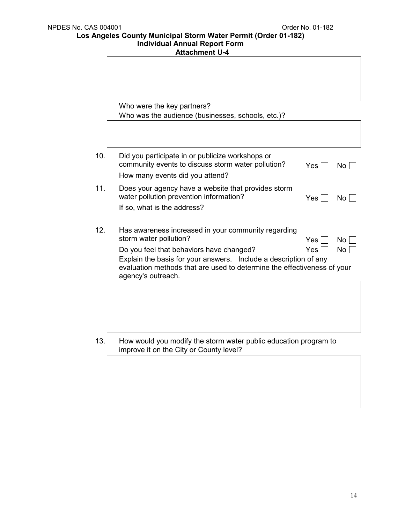## **Attachment U-4**

|     | Who were the key partners?                                                                                                                                                                                    |              |                 |
|-----|---------------------------------------------------------------------------------------------------------------------------------------------------------------------------------------------------------------|--------------|-----------------|
|     | Who was the audience (businesses, schools, etc.)?                                                                                                                                                             |              |                 |
|     |                                                                                                                                                                                                               |              |                 |
| 10. | Did you participate in or publicize workshops or<br>community events to discuss storm water pollution?<br>How many events did you attend?                                                                     | $Yes \lceil$ | No              |
| 11. | Does your agency have a website that provides storm<br>water pollution prevention information?<br>If so, what is the address?                                                                                 | Yes l        | No <sub>1</sub> |
| 12. | Has awareness increased in your community regarding<br>storm water pollution?                                                                                                                                 | Yes          | <b>No</b>       |
|     | Do you feel that behaviors have changed?<br>Explain the basis for your answers. Include a description of any<br>evaluation methods that are used to determine the effectiveness of your<br>agency's outreach. | Yes          | <b>No</b>       |
|     |                                                                                                                                                                                                               |              |                 |
| 13. | How would you modify the storm water public education program to<br>improve it on the City or County level?                                                                                                   |              |                 |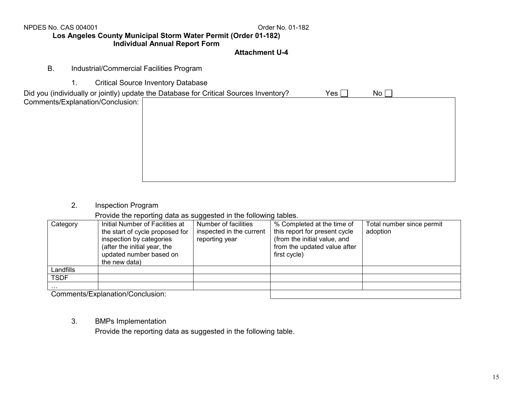NPDES No. CAS 004001

## Order No. 01-182

### **Los Angeles County Municipal Storm Water Permit (Order 01-182) Individual Annual Report Form**

### **Attachment U-4**

- B. Industrial/Commercial Facilities Program
	- 1. Critical Source Inventory Database

|                                  | Did you (individually or jointly) update the Database for Critical Sources Inventory? | Yes $[$ | No <sub>1</sub> |
|----------------------------------|---------------------------------------------------------------------------------------|---------|-----------------|
| Comments/Explanation/Conclusion: |                                                                                       |         |                 |
|                                  |                                                                                       |         |                 |
|                                  |                                                                                       |         |                 |
|                                  |                                                                                       |         |                 |
|                                  |                                                                                       |         |                 |
|                                  |                                                                                       |         |                 |
|                                  |                                                                                       |         |                 |
|                                  |                                                                                       |         |                 |
|                                  |                                                                                       |         |                 |
|                                  |                                                                                       |         |                 |

2. Inspection Program

Provide the reporting data as suggested in the following tables.

|             |                                                                                                                                                                            | ັ                                                                  |                                                                                                                                             |                                       |
|-------------|----------------------------------------------------------------------------------------------------------------------------------------------------------------------------|--------------------------------------------------------------------|---------------------------------------------------------------------------------------------------------------------------------------------|---------------------------------------|
| Category    | Initial Number of Facilities at<br>the start of cycle proposed for<br>inspection by categories<br>(after the initial year, the<br>updated number based on<br>the new data) | Number of facilities<br>inspected in the current<br>reporting year | % Completed at the time of<br>this report for present cycle<br>(from the initial value, and<br>from the updated value after<br>first cycle) | Total number since permit<br>adoption |
| Landfills   |                                                                                                                                                                            |                                                                    |                                                                                                                                             |                                       |
| <b>TSDF</b> |                                                                                                                                                                            |                                                                    |                                                                                                                                             |                                       |
| .           |                                                                                                                                                                            |                                                                    |                                                                                                                                             |                                       |
|             | Commonto/Evplopation/Conclusion:                                                                                                                                           |                                                                    |                                                                                                                                             |                                       |

Comments/Explanation/Conclusion:

3. BMPs Implementation

Provide the reporting data as suggested in the following table.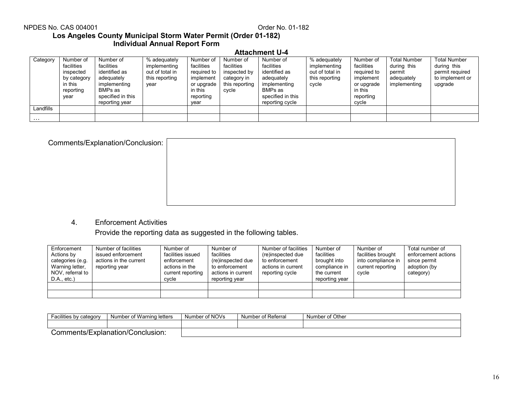## NPDES No. CAS 004001

## Order No. 01-182

## **Los Angeles County Municipal Storm Water Permit (Order 01-182) Individual Annual Report Form**

#### **Attachment U-4**

| Category  | Number of<br>facilities<br>inspected<br>by category<br>in this<br>reporting<br>year | Number of<br>facilities<br>identified as<br>adequately<br>implementing<br>BMPs as<br>specified in this<br>reporting year | % adequately<br>implementing<br>out of total in<br>this reporting<br>year | Number of<br>facilities<br>required to<br>implement<br>or upgrade<br>in this<br>reporting<br>vear | Number of<br>facilities<br>inspected by<br>category in<br>this reporting<br>cycle | Number of<br>facilities<br>identified as<br>adequately<br>implementing<br>BMPs as<br>specified in this<br>reporting cycle | % adequately<br>implementing<br>out of total in<br>this reporting<br>cycle | Number of<br>facilities<br>required to<br>implement<br>or upgrade<br>in this<br>reporting<br>cycle | <b>Total Number</b><br>during this<br>permit<br>adequately<br>implementing | <b>Total Number</b><br>during this<br>permit required<br>to implement or<br>upgrade |
|-----------|-------------------------------------------------------------------------------------|--------------------------------------------------------------------------------------------------------------------------|---------------------------------------------------------------------------|---------------------------------------------------------------------------------------------------|-----------------------------------------------------------------------------------|---------------------------------------------------------------------------------------------------------------------------|----------------------------------------------------------------------------|----------------------------------------------------------------------------------------------------|----------------------------------------------------------------------------|-------------------------------------------------------------------------------------|
| Landfills |                                                                                     |                                                                                                                          |                                                                           |                                                                                                   |                                                                                   |                                                                                                                           |                                                                            |                                                                                                    |                                                                            |                                                                                     |
| .         |                                                                                     |                                                                                                                          |                                                                           |                                                                                                   |                                                                                   |                                                                                                                           |                                                                            |                                                                                                    |                                                                            |                                                                                     |

| Comments/Explanation/Conclusion: |  |
|----------------------------------|--|
|                                  |  |
|                                  |  |
|                                  |  |
|                                  |  |

4. Enforcement Activities

Provide the reporting data as suggested in the following tables.

| Enforcement<br>Actions by<br>categories (e.g.<br>Warning letter,<br>NOV, referral to<br>$D.A., etc.$ ) | Number of facilities<br>issued enforcement<br>actions in the current<br>reporting year | Number of<br>facilities issued<br>enforcement<br>actions in the<br>current reporting<br>cycle | Number of<br>facilities<br>(re)inspected due<br>to enforcement<br>actions in current<br>reporting year | Number of facilities<br>(re)inspected due<br>to enforcement<br>actions in current<br>reporting cycle | Number of<br>facilities<br>brought into<br>compliance in<br>the current<br>reporting year | Number of<br>facilities brought<br>into compliance in<br>current reporting<br>cycle | Total number of<br>enforcement actions<br>since permit<br>adoption (by<br>category) |
|--------------------------------------------------------------------------------------------------------|----------------------------------------------------------------------------------------|-----------------------------------------------------------------------------------------------|--------------------------------------------------------------------------------------------------------|------------------------------------------------------------------------------------------------------|-------------------------------------------------------------------------------------------|-------------------------------------------------------------------------------------|-------------------------------------------------------------------------------------|
|                                                                                                        |                                                                                        |                                                                                               |                                                                                                        |                                                                                                      |                                                                                           |                                                                                     |                                                                                     |
|                                                                                                        |                                                                                        |                                                                                               |                                                                                                        |                                                                                                      |                                                                                           |                                                                                     |                                                                                     |

| ; bv categorv<br>-ാല<br>lities by<br>au | Number of Warning letters        | Number of NOVs | Number of Referral | Number of Other |
|-----------------------------------------|----------------------------------|----------------|--------------------|-----------------|
|                                         |                                  |                |                    |                 |
|                                         | comments/Explanation/Conclusion: |                |                    |                 |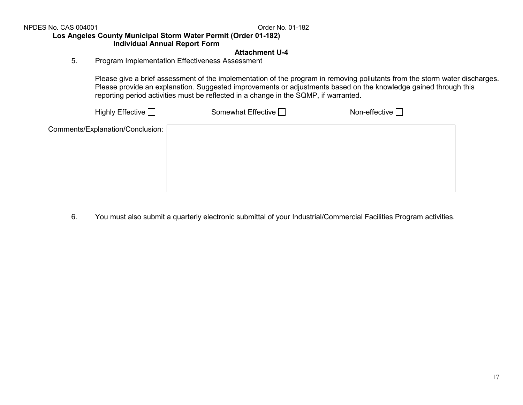NPDES No. CAS 004001

Order No. 01-182

### **Los Angeles County Municipal Storm Water Permit (Order 01-182) Individual Annual Report Form**

### **Attachment U-4**

5. Program Implementation Effectiveness Assessment

Please give a brief assessment of the implementation of the program in removing pollutants from the storm water discharges. Please provide an explanation. Suggested improvements or adjustments based on the knowledge gained through this reporting period activities must be reflected in a change in the SQMP, if warranted.

| Highly Effective <sub>1</sub>    | Somewhat Effective $\Box$ | Non-effective $\Box$ |  |
|----------------------------------|---------------------------|----------------------|--|
| Comments/Explanation/Conclusion: |                           |                      |  |
|                                  |                           |                      |  |
|                                  |                           |                      |  |
|                                  |                           |                      |  |
|                                  |                           |                      |  |

6. You must also submit a quarterly electronic submittal of your Industrial/Commercial Facilities Program activities.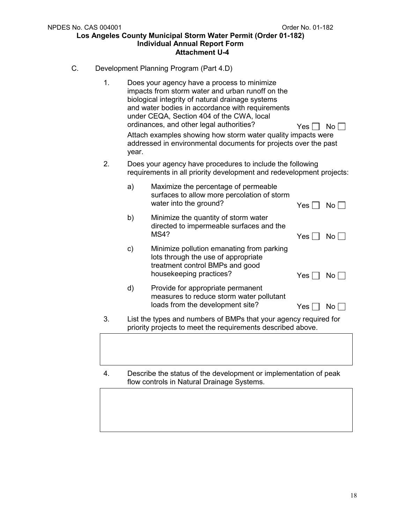- C. Development Planning Program (Part 4.D)
	- 1. Does your agency have a process to minimize impacts from storm water and urban runoff on the biological integrity of natural drainage systems and water bodies in accordance with requirements under CEQA, Section 404 of the CWA, local ordinances, and other legal authorities?  $Yes \Box No \Box$ Attach examples showing how storm water quality impacts were addressed in environmental documents for projects over the past year. 2. Does your agency have procedures to include the following requirements in all priority development and redevelopment projects: a) Maximize the percentage of permeable surfaces to allow more percolation of storm water into the ground?  $Yes \Box No \Box$ b) Minimize the quantity of storm water directed to impermeable surfaces and the  $MS4?$   $Yes \Box No \Box$ c) Minimize pollution emanating from parking lots through the use of appropriate treatment control BMPs and good housekeeping practices?  $Yes \Box No \Box$ d) Provide for appropriate permanent measures to reduce storm water pollutant loads from the development site?  $Yes \Box No \Box$ 3. List the types and numbers of BMPs that your agency required for
	-

priority projects to meet the requirements described above.

4. Describe the status of the development or implementation of peak flow controls in Natural Drainage Systems.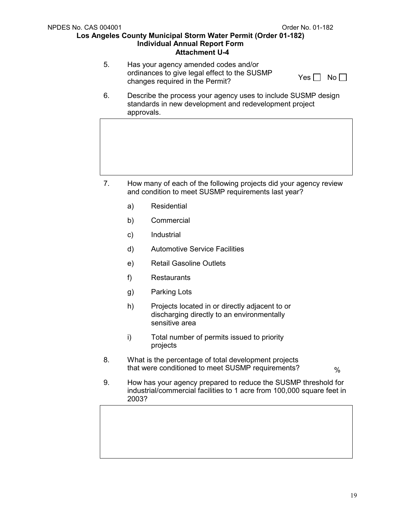5. Has your agency amended codes and/or ordinances to give legal effect to the SUSMP changes required in the Permit?

6. Describe the process your agency uses to include SUSMP design standards in new development and redevelopment project approvals.

- 7. How many of each of the following projects did your agency review and condition to meet SUSMP requirements last year?
	- a) Residential
	- b) Commercial
	- c) Industrial
	- d) Automotive Service Facilities
	- e) Retail Gasoline Outlets
	- f) Restaurants
	- g) Parking Lots
	- h) Projects located in or directly adjacent to or discharging directly to an environmentally sensitive area
	- i) Total number of permits issued to priority projects
- 8. What is the percentage of total development projects that were conditioned to meet SUSMP requirements?  $\frac{1}{2}$

9. How has your agency prepared to reduce the SUSMP threshold for industrial/commercial facilities to 1 acre from 100,000 square feet in 2003?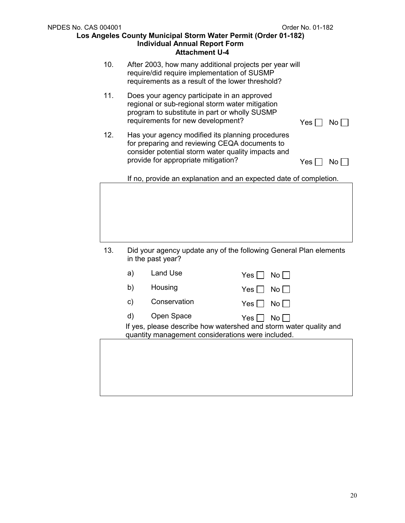| <b>NPDES No. CAS 004001</b><br>Los Angeles County Municipal Storm Water Permit (Order 01-182) | Order No. 01-182 |                                     |                                                                                                                                                           |                            |
|-----------------------------------------------------------------------------------------------|------------------|-------------------------------------|-----------------------------------------------------------------------------------------------------------------------------------------------------------|----------------------------|
|                                                                                               | 10.              |                                     | After 2003, how many additional projects per year will<br>require/did require implementation of SUSMP<br>requirements as a result of the lower threshold? |                            |
|                                                                                               | 11.              | requirements for new development?   | Does your agency participate in an approved<br>regional or sub-regional storm water mitigation<br>program to substitute in part or wholly SUSMP           | Yes  <br>No l              |
|                                                                                               | 12.              | provide for appropriate mitigation? | Has your agency modified its planning procedures<br>for preparing and reviewing CEQA documents to<br>consider potential storm water quality impacts and   | $Yes \mid$<br>$No$ $\vert$ |
|                                                                                               |                  |                                     |                                                                                                                                                           |                            |
|                                                                                               | 13.              | in the past year?                   | Did your agency update any of the following General Plan elements                                                                                         |                            |
|                                                                                               |                  | <b>Land Use</b><br>a)               | Yes <br>No                                                                                                                                                |                            |
|                                                                                               |                  | b)<br>Housing                       | Yes  <br>No                                                                                                                                               |                            |
|                                                                                               |                  | Conservation<br>C)                  | Yes  <br>No                                                                                                                                               |                            |
|                                                                                               |                  | Open Space<br>d)                    | $Yes$ $\Box$<br>No $\Box$<br>If yes, please describe how watershed and storm water quality and<br>quantity management considerations were included.       |                            |
|                                                                                               |                  |                                     |                                                                                                                                                           |                            |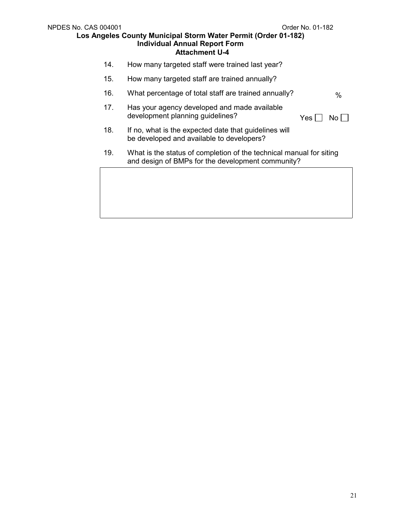- 14. How many targeted staff were trained last year?
- 15. How many targeted staff are trained annually?
- 16. What percentage of total staff are trained annually?  $\%$
- 17. Has your agency developed and made available development planning guidelines?

| - | . . |  |
|---|-----|--|

- 18. If no, what is the expected date that guidelines will be developed and available to developers?
- 19. What is the status of completion of the technical manual for siting and design of BMPs for the development community?

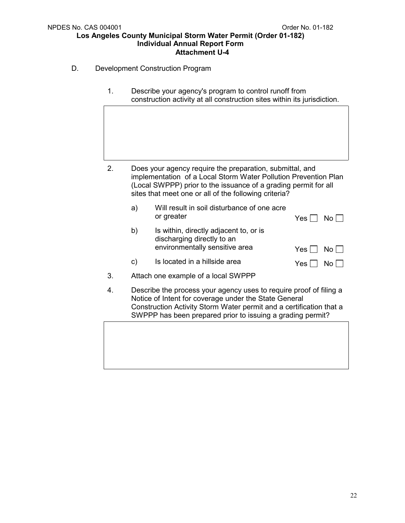- D. Development Construction Program
	- 1. Describe your agency's program to control runoff from construction activity at all construction sites within its jurisdiction.

- 2. Does your agency require the preparation, submittal, and implementation of a Local Storm Water Pollution Prevention Plan (Local SWPPP) prior to the issuance of a grading permit for all sites that meet one or all of the following criteria?
	- a) Will result in soil disturbance of one acre or greater  $Yes \bigcap No \bigcap$
	- b) Is within, directly adjacent to, or is discharging directly to an environmentally sensitive area  $Y_{PS} \Box N_0 \Box$

|  | ⊔ טוו ∟נ           |
|--|--------------------|
|  | $Yes \Box No \Box$ |

3. Attach one example of a local SWPPP

c) Is located in a hillside area

4. Describe the process your agency uses to require proof of filing a Notice of Intent for coverage under the State General Construction Activity Storm Water permit and a certification that a SWPPP has been prepared prior to issuing a grading permit?

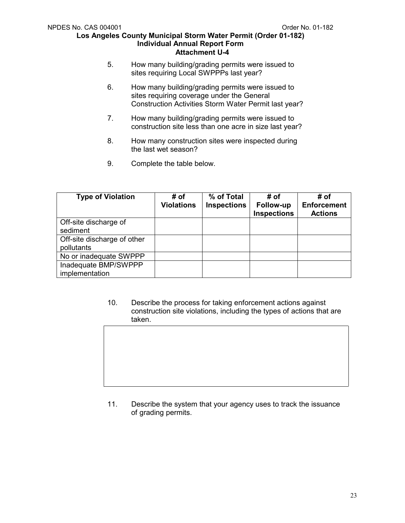- 5. How many building/grading permits were issued to sites requiring Local SWPPPs last year?
- 6. How many building/grading permits were issued to sites requiring coverage under the General Construction Activities Storm Water Permit last year?
- 7. How many building/grading permits were issued to construction site less than one acre in size last year?
- 8. How many construction sites were inspected during the last wet season?
- 9. Complete the table below.

| <b>Type of Violation</b>                  | # of<br><b>Violations</b> | % of Total<br><b>Inspections</b> | # of<br>Follow-up<br><b>Inspections</b> | # of<br><b>Enforcement</b><br><b>Actions</b> |
|-------------------------------------------|---------------------------|----------------------------------|-----------------------------------------|----------------------------------------------|
| Off-site discharge of<br>sediment         |                           |                                  |                                         |                                              |
| Off-site discharge of other<br>pollutants |                           |                                  |                                         |                                              |
| No or inadequate SWPPP                    |                           |                                  |                                         |                                              |
| Inadequate BMP/SWPPP<br>implementation    |                           |                                  |                                         |                                              |

10. Describe the process for taking enforcement actions against construction site violations, including the types of actions that are taken.

11. Describe the system that your agency uses to track the issuance of grading permits.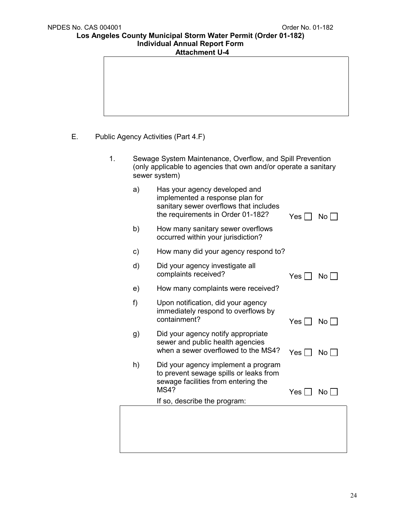- 
- E. Public Agency Activities (Part 4.F)
	- 1. Sewage System Maintenance, Overflow, and Spill Prevention (only applicable to agencies that own and/or operate a sanitary sewer system)
		- a) Has your agency developed and implemented a response plan for sanitary sewer overflows that includes the requirements in Order 01-182? Yes  $\Box$  No  $\Box$
		- b) How many sanitary sewer overflows occurred within your jurisdiction?
		- c) How many did your agency respond to?
		- d) Did your agency investigate all complaints received?  $Yes \Box No \Box$
		- e) How many complaints were received?
		- f) Upon notification, did your agency immediately respond to overflows by containment? Yes No
		- g) Did your agency notify appropriate sewer and public health agencies when a sewer overflowed to the MS4?  $Y_{\text{es}} \cap N_0$
		- h) Did your agency implement a program to prevent sewage spills or leaks from sewage facilities from entering the<br>MS4? Yes  $\Box$  No  $\Box$

If so, describe the program: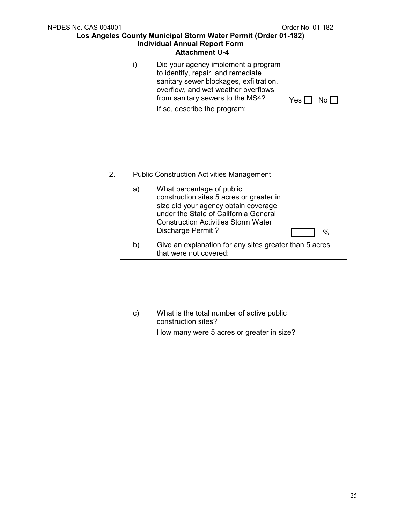| <b>NPDES No. CAS 004001</b> |               |                                                                                                                                                                                                                           | Order No. 01-182 |
|-----------------------------|---------------|---------------------------------------------------------------------------------------------------------------------------------------------------------------------------------------------------------------------------|------------------|
|                             |               | Los Angeles County Municipal Storm Water Permit (Order 01-182)<br><b>Individual Annual Report Form</b><br><b>Attachment U-4</b>                                                                                           |                  |
|                             | i)            | Did your agency implement a program<br>to identify, repair, and remediate<br>sanitary sewer blockages, exfiltration,<br>overflow, and wet weather overflows<br>from sanitary sewers to the MS4?                           | Yes <br>No       |
|                             |               | If so, describe the program:                                                                                                                                                                                              |                  |
|                             |               |                                                                                                                                                                                                                           |                  |
| 2.                          |               | <b>Public Construction Activities Management</b>                                                                                                                                                                          |                  |
|                             | a)            | What percentage of public<br>construction sites 5 acres or greater in<br>size did your agency obtain coverage<br>under the State of California General<br><b>Construction Activities Storm Water</b><br>Discharge Permit? | $\%$             |
|                             | b)            | Give an explanation for any sites greater than 5 acres<br>that were not covered:                                                                                                                                          |                  |
|                             |               |                                                                                                                                                                                                                           |                  |
|                             | $\mathsf{c})$ | What is the total number of active public<br>construction sites?                                                                                                                                                          |                  |

How many were 5 acres or greater in size?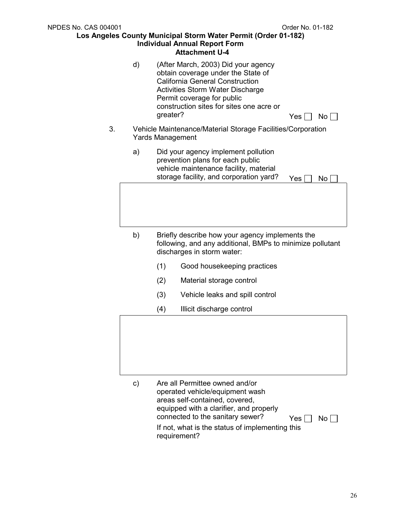|    |    |          | Attachment U-4                                                                                                                                                                                                                           |     |                 |
|----|----|----------|------------------------------------------------------------------------------------------------------------------------------------------------------------------------------------------------------------------------------------------|-----|-----------------|
|    | d) | greater? | (After March, 2003) Did your agency<br>obtain coverage under the State of<br><b>California General Construction</b><br><b>Activities Storm Water Discharge</b><br>Permit coverage for public<br>construction sites for sites one acre or | Yes | No l            |
| 3. |    |          | Vehicle Maintenance/Material Storage Facilities/Corporation<br><b>Yards Management</b>                                                                                                                                                   |     |                 |
|    | a) |          | Did your agency implement pollution<br>prevention plans for each public<br>vehicle maintenance facility, material<br>storage facility, and corporation yard?                                                                             | Yes | No <sub>1</sub> |
|    | b) |          | Briefly describe how your agency implements the<br>following, and any additional, BMPs to minimize pollutant                                                                                                                             |     |                 |
|    |    |          | discharges in storm water:                                                                                                                                                                                                               |     |                 |
|    |    | (1)      | Good housekeeping practices                                                                                                                                                                                                              |     |                 |
|    |    | (2)      | Material storage control                                                                                                                                                                                                                 |     |                 |
|    |    | (3)      | Vehicle leaks and spill control                                                                                                                                                                                                          |     |                 |
|    |    | (4)      | Illicit discharge control                                                                                                                                                                                                                |     |                 |
|    |    |          |                                                                                                                                                                                                                                          |     |                 |
|    | c) |          | Are all Permittee owned and/or                                                                                                                                                                                                           |     |                 |

operated vehicle/equipment wash areas self-contained, covered, equipped with a clarifier, and properly connected to the sanitary sewer?  $Yes \Box No \Box$ If not, what is the status of implementing this requirement?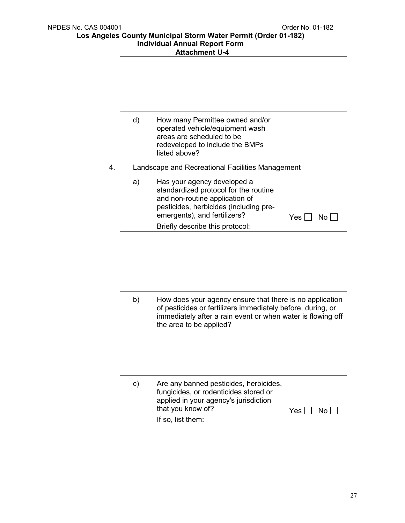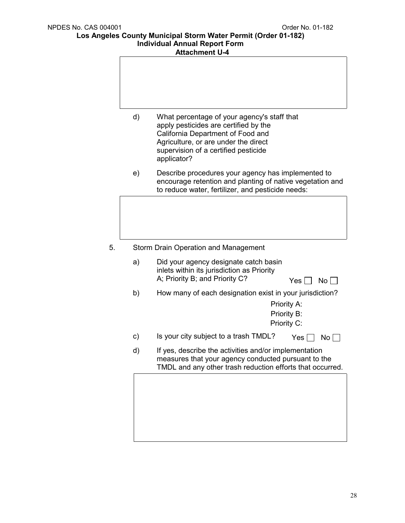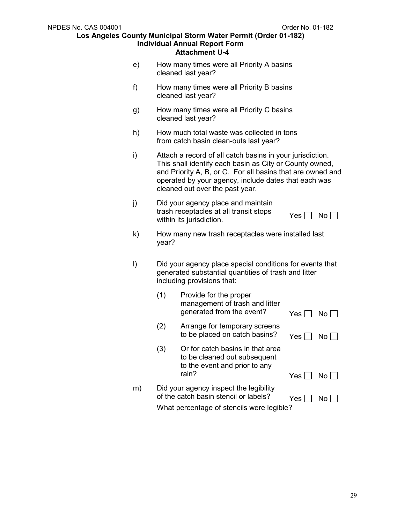- e) How many times were all Priority A basins cleaned last year?
- f) How many times were all Priority B basins cleaned last year?
- g) How many times were all Priority C basins cleaned last year?
- h) How much total waste was collected in tons from catch basin clean-outs last year?
- i) Attach a record of all catch basins in your jurisdiction. This shall identify each basin as City or County owned, and Priority A, B, or C. For all basins that are owned and operated by your agency, include dates that each was cleaned out over the past year.
- j) Did your agency place and maintain trash receptacles at all transit stops within its jurisdiction.  $\forall$ es  $\Box$  No  $\Box$
- k) How many new trash receptacles were installed last year?
- l) Did your agency place special conditions for events that generated substantial quantities of trash and litter including provisions that:

|    | (1) | Provide for the proper<br>management of trash and litter<br>generated from the event?                      | Yes  | No L |
|----|-----|------------------------------------------------------------------------------------------------------------|------|------|
|    | (2) | Arrange for temporary screens<br>to be placed on catch basins?                                             | Yes. | No.  |
|    | (3) | Or for catch basins in that area<br>to be cleaned out subsequent<br>to the event and prior to any<br>rain? |      |      |
|    |     |                                                                                                            | Yes  | No.  |
| m) |     | Did your agency inspect the legibility<br>of the catch basin stencil or labels?                            | Yes. |      |
|    |     | What percentage of stencils were legible?                                                                  |      |      |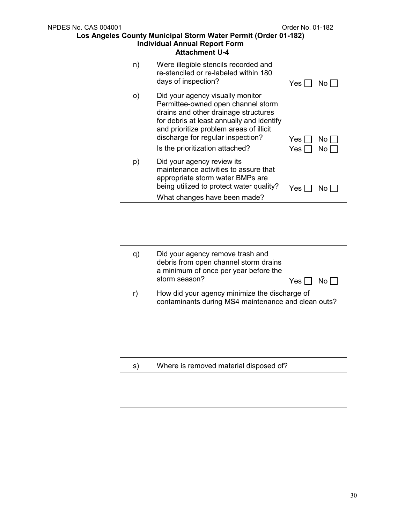| <b>NPDES No. CAS 004001</b> |                                                                                                                                                                                                                                                                                | Order No. 01-182 |                         |
|-----------------------------|--------------------------------------------------------------------------------------------------------------------------------------------------------------------------------------------------------------------------------------------------------------------------------|------------------|-------------------------|
|                             | Los Angeles County Municipal Storm Water Permit (Order 01-182)<br><b>Individual Annual Report Form</b><br><b>Attachment U-4</b>                                                                                                                                                |                  |                         |
| n)                          | Were illegible stencils recorded and<br>re-stenciled or re-labeled within 180<br>days of inspection?                                                                                                                                                                           | Yes              | $\mathsf{No} \,  $      |
| O)                          | Did your agency visually monitor<br>Permittee-owned open channel storm<br>drains and other drainage structures<br>for debris at least annually and identify<br>and prioritize problem areas of illicit<br>discharge for regular inspection?<br>Is the prioritization attached? | Yes<br>Yes       | No L<br>No <sub>l</sub> |
| p)                          | Did your agency review its<br>maintenance activities to assure that<br>appropriate storm water BMPs are<br>being utilized to protect water quality?<br>What changes have been made?                                                                                            | Yes              | No                      |
|                             |                                                                                                                                                                                                                                                                                |                  |                         |
| q)                          | Did your agency remove trash and<br>debris from open channel storm drains<br>a minimum of once per year before the<br>storm season?                                                                                                                                            | Yes              | No                      |
| r)                          | How did your agency minimize the discharge of<br>contaminants during MS4 maintenance and clean outs?                                                                                                                                                                           |                  |                         |
|                             |                                                                                                                                                                                                                                                                                |                  |                         |
| s)                          | Where is removed material disposed of?                                                                                                                                                                                                                                         |                  |                         |
|                             |                                                                                                                                                                                                                                                                                |                  |                         |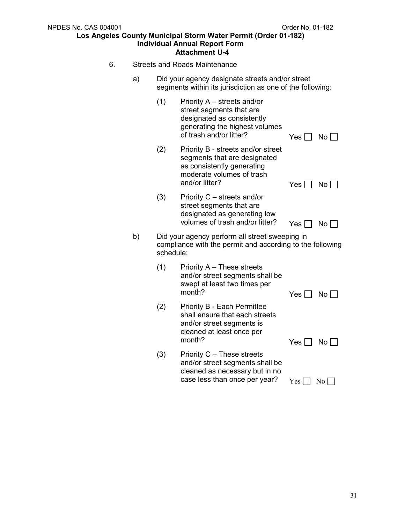- 6. Streets and Roads Maintenance
	- a) Did your agency designate streets and/or street segments within its jurisdiction as one of the following:

|    | (1)       | Priority A – streets and/or<br>street segments that are<br>designated as consistently<br>generating the highest volumes<br>of trash and/or litter? | Yes        | $No$ $\Box$     |
|----|-----------|----------------------------------------------------------------------------------------------------------------------------------------------------|------------|-----------------|
|    | (2)       | Priority B - streets and/or street<br>segments that are designated<br>as consistently generating<br>moderate volumes of trash<br>and/or litter?    | Yes        | $No \Box$       |
|    | (3)       | Priority C - streets and/or<br>street segments that are<br>designated as generating low<br>volumes of trash and/or litter?                         | Yes $\Box$ | No              |
| b) | schedule: | Did your agency perform all street sweeping in<br>compliance with the permit and according to the following                                        |            |                 |
|    | (1)       | Priority A – These streets<br>and/or street segments shall be<br>swept at least two times per<br>month?                                            | Yes        | No <sub>l</sub> |
|    | (2)       | <b>Priority B - Each Permittee</b><br>shall ensure that each streets<br>and/or street segments is<br>cleaned at least once per<br>month?           | Yes $\Box$ | No <sub>1</sub> |
|    | (3)       | Priority C – These streets<br>and/or street segments shall be<br>cleaned as necessary but in no<br>case less than once per year?                   | Yes        | No <sub>1</sub> |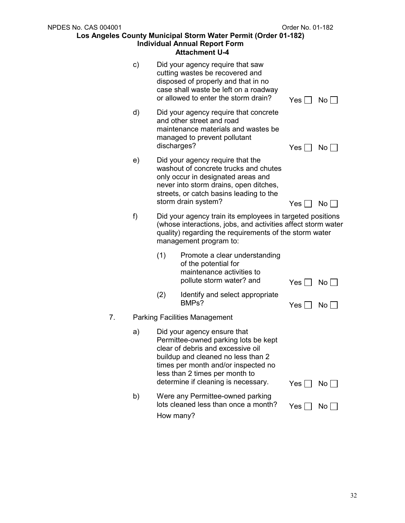| NPDES No. CAS 004001 |             |                                                                                                                                                                                                                                                                | Order No. 01-182 |                         |
|----------------------|-------------|----------------------------------------------------------------------------------------------------------------------------------------------------------------------------------------------------------------------------------------------------------------|------------------|-------------------------|
|                      |             | Los Angeles County Municipal Storm Water Permit (Order 01-182)<br><b>Individual Annual Report Form</b><br><b>Attachment U-4</b>                                                                                                                                |                  |                         |
| C)                   |             | Did your agency require that saw<br>cutting wastes be recovered and<br>disposed of properly and that in no<br>case shall waste be left on a roadway<br>or allowed to enter the storm drain?                                                                    | Yes              | No                      |
| d)                   | discharges? | Did your agency require that concrete<br>and other street and road<br>maintenance materials and wastes be<br>managed to prevent pollutant                                                                                                                      | $Yes$            | $No$ $ $                |
| e)                   |             | Did your agency require that the<br>washout of concrete trucks and chutes<br>only occur in designated areas and<br>never into storm drains, open ditches,<br>streets, or catch basins leading to the<br>storm drain system?                                    | $Yes \Box$       | $No$                    |
| f)                   |             | Did your agency train its employees in targeted positions<br>(whose interactions, jobs, and activities affect storm water<br>quality) regarding the requirements of the storm water<br>management program to:                                                  |                  |                         |
|                      | (1)         | Promote a clear understanding<br>of the potential for<br>maintenance activities to<br>pollute storm water? and                                                                                                                                                 | Yes              | $No$                    |
|                      | (2)         | Identify and select appropriate<br>BMPs?                                                                                                                                                                                                                       | Yes              | No <sub>1</sub>         |
| 7.                   |             | <b>Parking Facilities Management</b>                                                                                                                                                                                                                           |                  |                         |
| a)                   |             | Did your agency ensure that<br>Permittee-owned parking lots be kept<br>clear of debris and excessive oil<br>buildup and cleaned no less than 2<br>times per month and/or inspected no<br>less than 2 times per month to<br>determine if cleaning is necessary. |                  |                         |
| b)                   | How many?   | Were any Permittee-owned parking<br>lots cleaned less than once a month?                                                                                                                                                                                       | Yes  <br>Yes     | No  <br>No <sub>1</sub> |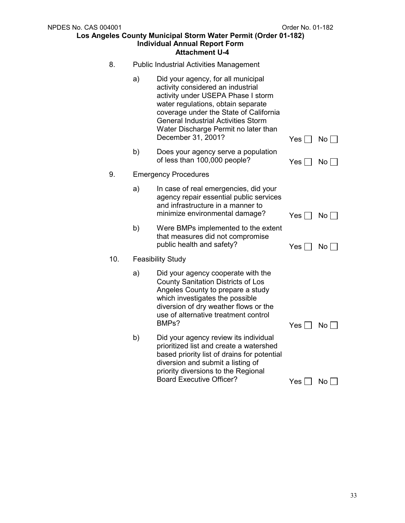| 8.  | <b>Public Industrial Activities Management</b> |                                                                                                                                                                                                                                                                                                           |                                |                 |
|-----|------------------------------------------------|-----------------------------------------------------------------------------------------------------------------------------------------------------------------------------------------------------------------------------------------------------------------------------------------------------------|--------------------------------|-----------------|
|     | a)                                             | Did your agency, for all municipal<br>activity considered an industrial<br>activity under USEPA Phase I storm<br>water regulations, obtain separate<br>coverage under the State of California<br><b>General Industrial Activities Storm</b><br>Water Discharge Permit no later than<br>December 31, 2001? | Yes $\Box$                     | $No \Box$       |
|     | b)                                             | Does your agency serve a population<br>of less than 100,000 people?                                                                                                                                                                                                                                       | Yes $\Box$                     | No              |
| 9.  |                                                | <b>Emergency Procedures</b>                                                                                                                                                                                                                                                                               |                                |                 |
|     | a)                                             | In case of real emergencies, did your<br>agency repair essential public services<br>and infrastructure in a manner to<br>minimize environmental damage?                                                                                                                                                   | $Yes \Box$                     | $No \Box$       |
|     | b)                                             | Were BMPs implemented to the extent<br>that measures did not compromise<br>public health and safety?                                                                                                                                                                                                      | Yes $\lceil$                   | No <sub>1</sub> |
| 10. |                                                | <b>Feasibility Study</b>                                                                                                                                                                                                                                                                                  |                                |                 |
|     | a)                                             | Did your agency cooperate with the<br><b>County Sanitation Districts of Los</b><br>Angeles County to prepare a study<br>which investigates the possible<br>diversion of dry weather flows or the<br>use of alternative treatment control<br>BMPs?                                                         | Yes $\lceil$<br>$\blacksquare$ | $No \Box$       |
|     | b)                                             | Did your agency review its individual<br>prioritized list and create a watershed<br>based priority list of drains for potential<br>diversion and submit a listing of<br>priority diversions to the Regional<br><b>Board Executive Officer?</b>                                                            | Yes                            | No <sub>1</sub> |
|     |                                                |                                                                                                                                                                                                                                                                                                           |                                |                 |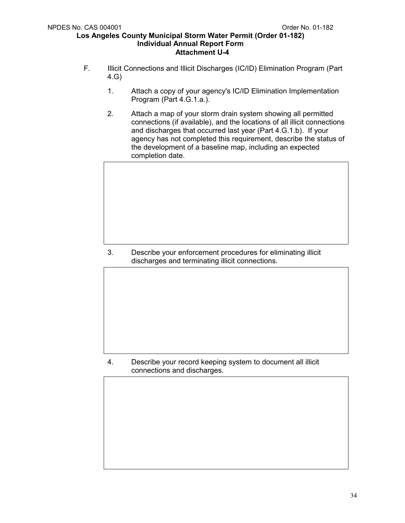- F. Illicit Connections and Illicit Discharges (IC/ID) Elimination Program (Part 4.G)
	- 1. Attach a copy of your agency's IC/ID Elimination Implementation Program (Part 4.G.1.a.).
	- 2. Attach a map of your storm drain system showing all permitted connections (if available), and the locations of all illicit connections and discharges that occurred last year (Part 4.G.1.b). If your agency has not completed this requirement, describe the status of the development of a baseline map, including an expected completion date.

3. Describe your enforcement procedures for eliminating illicit discharges and terminating illicit connections.

4. Describe your record keeping system to document all illicit connections and discharges.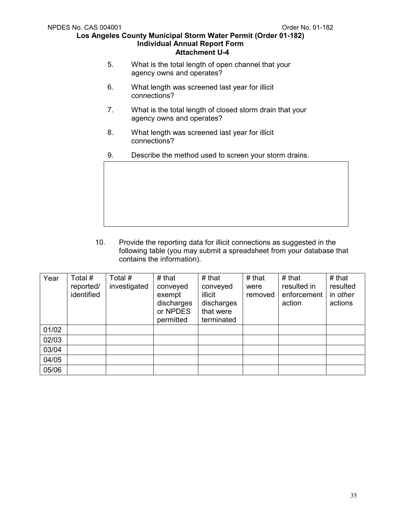- 5. What is the total length of open channel that your agency owns and operates?
- 6. What length was screened last year for illicit connections?
- 7. What is the total length of closed storm drain that your agency owns and operates?
- 8. What length was screened last year for illicit connections?
- 9. Describe the method used to screen your storm drains.



10. Provide the reporting data for illicit connections as suggested in the following table (you may submit a spreadsheet from your database that contains the information).

| Year  | Total #<br>reported/<br>identified | Total #<br>investigated | # that<br>conveyed<br>exempt<br>discharges<br>or NPDES<br>permitted | # that<br>conveyed<br>illicit<br>discharges<br>that were<br>terminated | # that<br>were<br>removed | $#$ that<br>resulted in<br>enforcement<br>action | # that<br>resulted<br>in other<br>actions |
|-------|------------------------------------|-------------------------|---------------------------------------------------------------------|------------------------------------------------------------------------|---------------------------|--------------------------------------------------|-------------------------------------------|
| 01/02 |                                    |                         |                                                                     |                                                                        |                           |                                                  |                                           |
| 02/03 |                                    |                         |                                                                     |                                                                        |                           |                                                  |                                           |
| 03/04 |                                    |                         |                                                                     |                                                                        |                           |                                                  |                                           |
| 04/05 |                                    |                         |                                                                     |                                                                        |                           |                                                  |                                           |
| 05/06 |                                    |                         |                                                                     |                                                                        |                           |                                                  |                                           |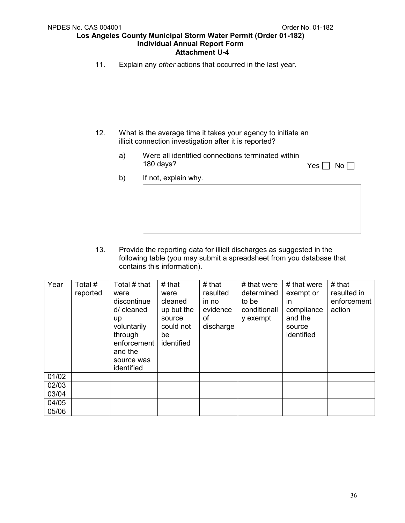11. Explain any *other* actions that occurred in the last year.

- 12. What is the average time it takes your agency to initiate an illicit connection investigation after it is reported?
	- a) Were all identified connections terminated within 180 days?

| No<br>Y<br>es |
|---------------|
|---------------|

b) If not, explain why.

13. Provide the reporting data for illicit discharges as suggested in the following table (you may submit a spreadsheet from you database that contains this information).

| Year  | Total #<br>reported | Total # that<br>were<br>discontinue<br>d/ cleaned<br>up<br>voluntarily<br>through<br>enforcement<br>and the<br>source was<br>identified | $#$ that<br>were<br>cleaned<br>up but the<br>source<br>could not<br>be<br>identified | # that<br>resulted<br>in no<br>evidence<br>οf<br>discharge | # that were<br>determined<br>to be<br>conditionall<br>y exempt | # that were<br>exempt or<br>in.<br>compliance<br>and the<br>source<br>identified | $#$ that<br>resulted in<br>enforcement<br>action |
|-------|---------------------|-----------------------------------------------------------------------------------------------------------------------------------------|--------------------------------------------------------------------------------------|------------------------------------------------------------|----------------------------------------------------------------|----------------------------------------------------------------------------------|--------------------------------------------------|
| 01/02 |                     |                                                                                                                                         |                                                                                      |                                                            |                                                                |                                                                                  |                                                  |
| 02/03 |                     |                                                                                                                                         |                                                                                      |                                                            |                                                                |                                                                                  |                                                  |
| 03/04 |                     |                                                                                                                                         |                                                                                      |                                                            |                                                                |                                                                                  |                                                  |
| 04/05 |                     |                                                                                                                                         |                                                                                      |                                                            |                                                                |                                                                                  |                                                  |
| 05/06 |                     |                                                                                                                                         |                                                                                      |                                                            |                                                                |                                                                                  |                                                  |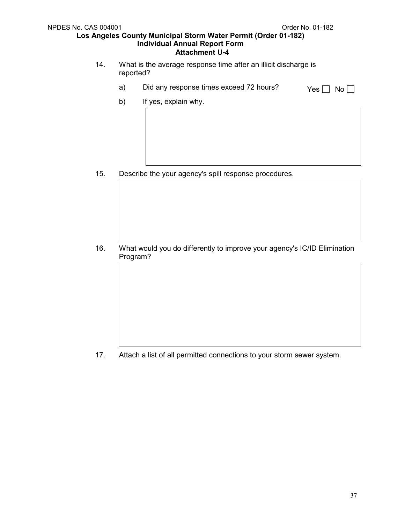- 14. What is the average response time after an illicit discharge is reported?
	- a) Did any response times exceed 72 hours?  $Yes \Box No \Box$ 
		-

b) If yes, explain why.

15. Describe the your agency's spill response procedures.

16. What would you do differently to improve your agency's IC/ID Elimination Program?

17. Attach a list of all permitted connections to your storm sewer system.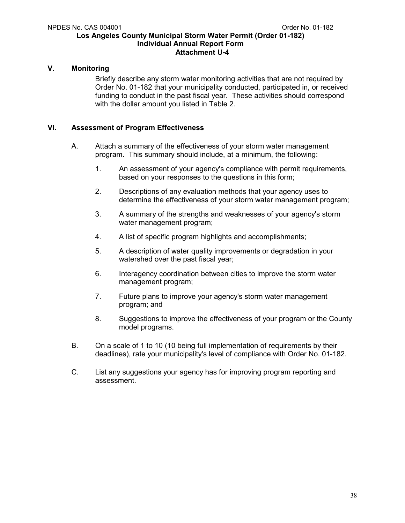## **V. Monitoring**

Briefly describe any storm water monitoring activities that are not required by Order No. 01-182 that your municipality conducted, participated in, or received funding to conduct in the past fiscal year. These activities should correspond with the dollar amount you listed in Table 2.

## **VI. Assessment of Program Effectiveness**

- A. Attach a summary of the effectiveness of your storm water management program. This summary should include, at a minimum, the following:
	- 1. An assessment of your agency's compliance with permit requirements, based on your responses to the questions in this form;
	- 2. Descriptions of any evaluation methods that your agency uses to determine the effectiveness of your storm water management program;
	- 3. A summary of the strengths and weaknesses of your agency's storm water management program;
	- 4. A list of specific program highlights and accomplishments;
	- 5. A description of water quality improvements or degradation in your watershed over the past fiscal year;
	- 6. Interagency coordination between cities to improve the storm water management program;
	- 7. Future plans to improve your agency's storm water management program; and
	- 8. Suggestions to improve the effectiveness of your program or the County model programs.
- B. On a scale of 1 to 10 (10 being full implementation of requirements by their deadlines), rate your municipality's level of compliance with Order No. 01-182.
- C. List any suggestions your agency has for improving program reporting and assessment.